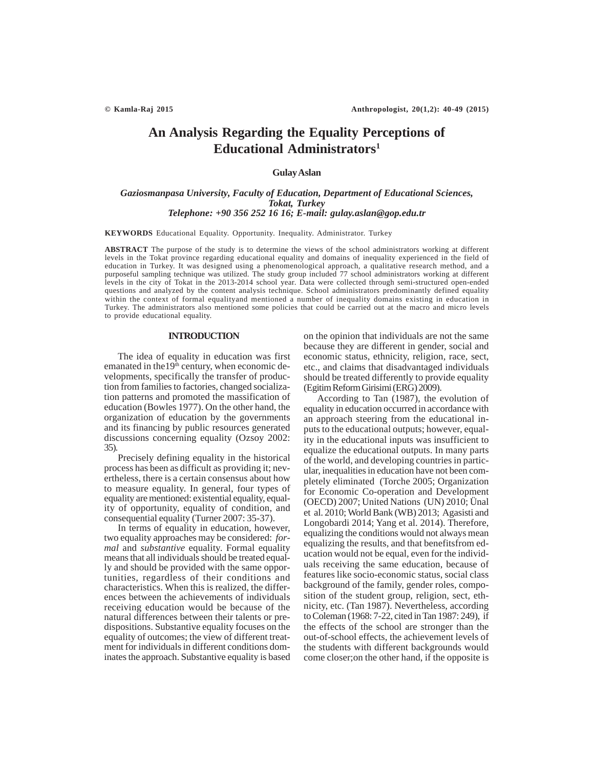# **An Analysis Regarding the Equality Perceptions of Educational Administrators1**

## **Gulay Aslan**

## *Gaziosmanpasa University, Faculty of Education, Department of Educational Sciences, Tokat, Turkey Telephone: +90 356 252 16 16; E-mail: gulay.aslan@gop.edu.tr*

**KEYWORDS** Educational Equality. Opportunity. Inequality. Administrator. Turkey

**ABSTRACT** The purpose of the study is to determine the views of the school administrators working at different levels in the Tokat province regarding educational equality and domains of inequality experienced in the field of education in Turkey. It was designed using a phenomenological approach, a qualitative research method, and a purposeful sampling technique was utilized. The study group included 77 school administrators working at different levels in the city of Tokat in the 2013-2014 school year. Data were collected through semi-structured open-ended questions and analyzed by the content analysis technique. School administrators predominantly defined equality within the context of formal equalityand mentioned a number of inequality domains existing in education in Turkey. The administrators also mentioned some policies that could be carried out at the macro and micro levels to provide educational equality.

# **INTRODUCTION**

The idea of equality in education was first emanated in the 19<sup>th</sup> century, when economic developments, specifically the transfer of production from families to factories, changed socialization patterns and promoted the massification of education (Bowles 1977). On the other hand, the organization of education by the governments and its financing by public resources generated discussions concerning equality (Ozsoy 2002: 35).

Precisely defining equality in the historical process has been as difficult as providing it; nevertheless, there is a certain consensus about how to measure equality. In general, four types of equality are mentioned: existential equality, equality of opportunity, equality of condition, and consequential equality (Turner 2007: 35-37).

In terms of equality in education, however, two equality approaches may be considered: *formal* and *substantive* equality. Formal equality means that all individuals should be treated equally and should be provided with the same opportunities, regardless of their conditions and characteristics. When this is realized, the differences between the achievements of individuals receiving education would be because of the natural differences between their talents or predispositions. Substantive equality focuses on the equality of outcomes; the view of different treatment for individuals in different conditions dominates the approach. Substantive equality is based on the opinion that individuals are not the same because they are different in gender, social and economic status, ethnicity, religion, race, sect, etc., and claims that disadvantaged individuals should be treated differently to provide equality (Egitim Reform Girisimi (ERG) 2009).

According to Tan (1987), the evolution of equality in education occurred in accordance with an approach steering from the educational inputs to the educational outputs; however, equality in the educational inputs was insufficient to equalize the educational outputs. In many parts of the world, and developing countries in particular, inequalities in education have not been completely eliminated (Torche 2005; Organization for Economic Co-operation and Development (OECD) 2007; United Nations (UN) 2010; Ünal et al. 2010; World Bank (WB) 2013; Agasisti and Longobardi 2014; Yang et al. 2014). Therefore, equalizing the conditions would not always mean equalizing the results, and that benefitsfrom education would not be equal, even for the individuals receiving the same education, because of features like socio-economic status, social class background of the family, gender roles, composition of the student group, religion, sect, ethnicity, etc. (Tan 1987). Nevertheless, according to Coleman (1968: 7-22, cited in Tan 1987: 249), if the effects of the school are stronger than the out-of-school effects, the achievement levels of the students with different backgrounds would come closer;on the other hand, if the opposite is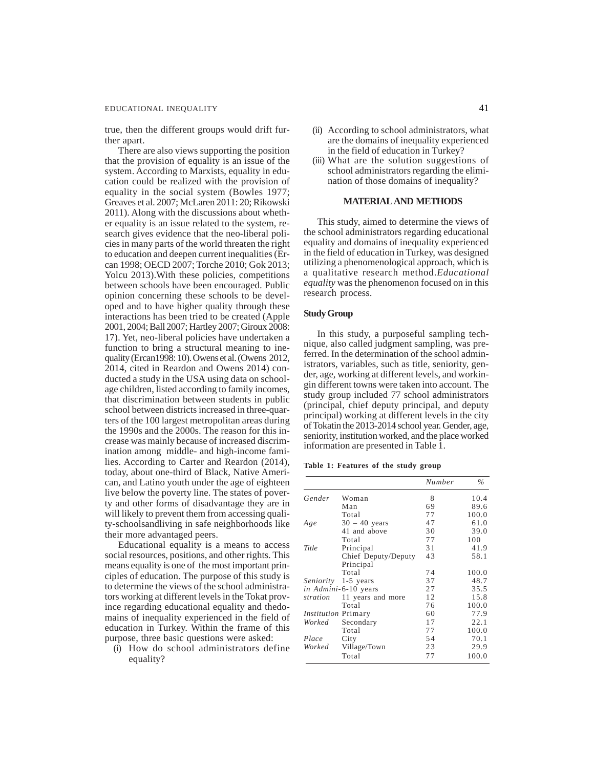## EDUCATIONAL INEQUALITY 41

true, then the different groups would drift further apart.

There are also views supporting the position that the provision of equality is an issue of the system. According to Marxists, equality in education could be realized with the provision of equality in the social system (Bowles 1977; Greaves et al. 2007; McLaren 2011: 20; Rikowski 2011). Along with the discussions about whether equality is an issue related to the system, research gives evidence that the neo-liberal policies in many parts of the world threaten the right to education and deepen current inequalities (Ercan 1998; OECD 2007; Torche 2010; Gok 2013; Yolcu 2013).With these policies, competitions between schools have been encouraged. Public opinion concerning these schools to be developed and to have higher quality through these interactions has been tried to be created (Apple 2001, 2004; Ball 2007; Hartley 2007; Giroux 2008: 17). Yet, neo-liberal policies have undertaken a function to bring a structural meaning to inequality (Ercan1998: 10). Owens et al. (Owens 2012, 2014, cited in Reardon and Owens 2014) conducted a study in the USA using data on schoolage children, listed according to family incomes, that discrimination between students in public school between districts increased in three-quarters of the 100 largest metropolitan areas during the 1990s and the 2000s. The reason for this increase was mainly because of increased discrimination among middle- and high-income families. According to Carter and Reardon (2014), today, about one-third of Black, Native American, and Latino youth under the age of eighteen live below the poverty line. The states of poverty and other forms of disadvantage they are in will likely to prevent them from accessing quality-schoolsandliving in safe neighborhoods like their more advantaged peers.

Educational equality is a means to access social resources, positions, and other rights. This means equality is one of the most important principles of education. The purpose of this study is to determine the views of the school administrators working at different levels in the Tokat province regarding educational equality and thedomains of inequality experienced in the field of education in Turkey. Within the frame of this purpose, three basic questions were asked:

(i) How do school administrators define equality?

- (ii) According to school administrators, what are the domains of inequality experienced in the field of education in Turkey?
- (iii) What are the solution suggestions of school administrators regarding the elimination of those domains of inequality?

## **MATERIAL AND METHODS**

This study, aimed to determine the views of the school administrators regarding educational equality and domains of inequality experienced in the field of education in Turkey, was designed utilizing a phenomenological approach, which is a qualitative research method.*Educational equality* was the phenomenon focused on in this research process.

# **Study Group**

In this study, a purposeful sampling technique, also called judgment sampling, was preferred. In the determination of the school administrators, variables, such as title, seniority, gender, age, working at different levels, and workingin different towns were taken into account. The study group included 77 school administrators (principal, chief deputy principal, and deputy principal) working at different levels in the city of Tokatin the 2013-2014 school year. Gender, age, seniority, institution worked, and the place worked information are presented in Table 1.

**Table 1: Features of the study group**

|                            |                      | Number | $\%$  |
|----------------------------|----------------------|--------|-------|
| Gender                     | Woman                | 8      | 10.4  |
|                            | Man                  | 69     | 89.6  |
|                            | Total                | 77     | 100.0 |
| Age                        | $30 - 40$ years      | 47     | 61.0  |
|                            | 41 and above         | 30     | 39.0  |
|                            | Total                | 77     | 100   |
| Title                      | Principal            | 31     | 41.9  |
|                            | Chief Deputy/Deputy  | 43     | 58.1  |
|                            | Principal            |        |       |
|                            | Total                | 74     | 100.0 |
| Seniority                  | $1-5$ years          | 37     | 48.7  |
|                            | in Admini-6-10 years | 27     | 35.5  |
| stration                   | 11 years and more    | 12     | 15.8  |
|                            | Total                | 76     | 100.0 |
| <i>Institution</i> Primary |                      | 60     | 77.9  |
| Worked                     | Secondary            | 17     | 22.1  |
|                            | Total                | 77     | 100.0 |
| Place                      | City                 | 54     | 70.1  |
| Worked                     | Village/Town         | 23     | 29.9  |
|                            | Total                | 77     | 100.0 |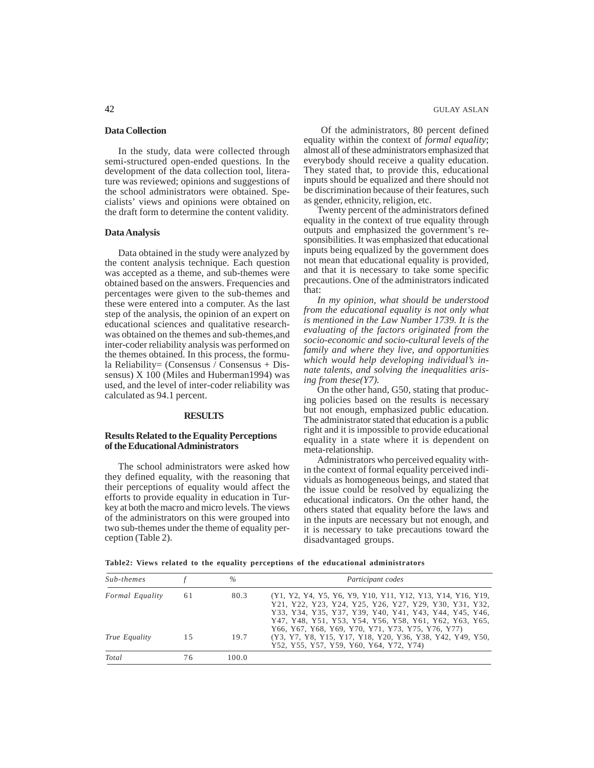## **Data Collection**

In the study, data were collected through semi-structured open-ended questions. In the development of the data collection tool, literature was reviewed; opinions and suggestions of the school administrators were obtained. Specialists' views and opinions were obtained on the draft form to determine the content validity.

#### **Data Analysis**

Data obtained in the study were analyzed by the content analysis technique. Each question was accepted as a theme, and sub-themes were obtained based on the answers. Frequencies and percentages were given to the sub-themes and these were entered into a computer. As the last step of the analysis, the opinion of an expert on educational sciences and qualitative researchwas obtained on the themes and sub-themes,and inter-coder reliability analysis was performed on the themes obtained. In this process, the formula Reliability= (Consensus / Consensus + Dissensus) X 100 (Miles and Huberman1994) was used, and the level of inter-coder reliability was calculated as 94.1 percent.

# **RESULTS**

## **Results Related to the Equality Perceptions of the Educational Administrators**

The school administrators were asked how they defined equality, with the reasoning that their perceptions of equality would affect the efforts to provide equality in education in Turkey at both the macro and micro levels. The views of the administrators on this were grouped into two sub-themes under the theme of equality perception (Table 2).

Of the administrators, 80 percent defined equality within the context of *formal equality*; almost all of these administrators emphasized that everybody should receive a quality education. They stated that, to provide this, educational inputs should be equalized and there should not be discrimination because of their features, such as gender, ethnicity, religion, etc.

Twenty percent of the administrators defined equality in the context of true equality through outputs and emphasized the government's responsibilities. It was emphasized that educational inputs being equalized by the government does not mean that educational equality is provided, and that it is necessary to take some specific precautions. One of the administrators indicated that:

*In my opinion, what should be understood from the educational equality is not only what is mentioned in the Law Number 1739. It is the evaluating of the factors originated from the socio-economic and socio-cultural levels of the family and where they live, and opportunities which would help developing individual's innate talents, and solving the inequalities arising from these(Y7).*

On the other hand, G50, stating that producing policies based on the results is necessary but not enough, emphasized public education. The administrator stated that education is a public right and it is impossible to provide educational equality in a state where it is dependent on meta-relationship.

Administrators who perceived equality within the context of formal equality perceived individuals as homogeneous beings, and stated that the issue could be resolved by equalizing the educational indicators. On the other hand, the others stated that equality before the laws and in the inputs are necessary but not enough, and it is necessary to take precautions toward the disadvantaged groups.

**Table2: Views related to the equality perceptions of the educational administrators**

| Sub-themes           |    | $\%$  | Participant codes                                                                                                                                                                                                                         |
|----------------------|----|-------|-------------------------------------------------------------------------------------------------------------------------------------------------------------------------------------------------------------------------------------------|
| Formal Equality      | 61 | 80.3  | (Y1, Y2, Y4, Y5, Y6, Y9, Y10, Y11, Y12, Y13, Y14, Y16, Y19,<br>Y21, Y22, Y23, Y24, Y25, Y26, Y27, Y29, Y30, Y31, Y32,<br>Y33, Y34, Y35, Y37, Y39, Y40, Y41, Y43, Y44, Y45, Y46,<br>Y47, Y48, Y51, Y53, Y54, Y56, Y58, Y61, Y62, Y63, Y65, |
| <i>True Equality</i> | 15 | 19.7  | Y66, Y67, Y68, Y69, Y70, Y71, Y73, Y75, Y76, Y77)<br>(Y3, Y7, Y8, Y15, Y17, Y18, Y20, Y36, Y38, Y42, Y49, Y50,<br>Y52, Y55, Y57, Y59, Y60, Y64, Y72, Y74)                                                                                 |
| Total                | 76 | 100.0 |                                                                                                                                                                                                                                           |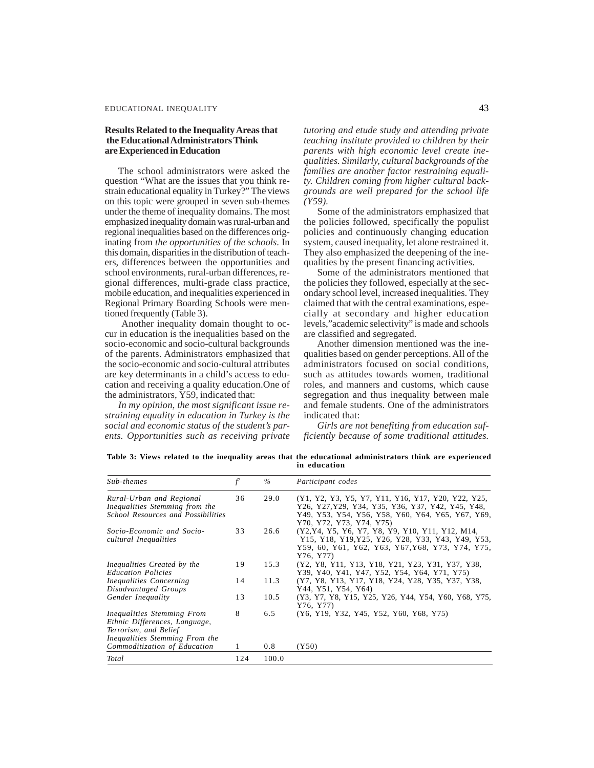## EDUCATIONAL INEQUALITY 43

## **Results Related to the Inequality Areas that the Educational Administrators Think are Experienced in Education**

The school administrators were asked the question "What are the issues that you think restrain educational equality in Turkey?" The views on this topic were grouped in seven sub-themes under the theme of inequality domains. The most emphasized inequality domain was rural-urban and regional inequalities based on the differences originating from *the opportunities of the schools*. In this domain, disparities in the distribution of teachers, differences between the opportunities and school environments, rural-urban differences, regional differences, multi-grade class practice, mobile education, and inequalities experienced in Regional Primary Boarding Schools were mentioned frequently (Table 3).

Another inequality domain thought to occur in education is the inequalities based on the socio-economic and socio-cultural backgrounds of the parents. Administrators emphasized that the socio-economic and socio-cultural attributes are key determinants in a child's access to education and receiving a quality education.One of the administrators, Y59, indicated that:

*In my opinion, the most significant issue restraining equality in education in Turkey is the social and economic status of the student's parents. Opportunities such as receiving private* *tutoring and etude study and attending private teaching institute provided to children by their parents with high economic level create inequalities. Similarly, cultural backgrounds of the families are another factor restraining equality. Children coming from higher cultural backgrounds are well prepared for the school life (Y59).*

Some of the administrators emphasized that the policies followed, specifically the populist policies and continuously changing education system, caused inequality, let alone restrained it. They also emphasized the deepening of the inequalities by the present financing activities.

Some of the administrators mentioned that the policies they followed, especially at the secondary school level, increased inequalities. They claimed that with the central examinations, especially at secondary and higher education levels,"academic selectivity" is made and schools are classified and segregated.

Another dimension mentioned was the inequalities based on gender perceptions. All of the administrators focused on social conditions, such as attitudes towards women, traditional roles, and manners and customs, which cause segregation and thus inequality between male and female students. One of the administrators indicated that:

*Girls are not benefiting from education sufficiently because of some traditional attitudes.*

**Table 3: Views related to the inequality areas that the educational administrators think are experienced in education**

| Sub-themes                                                                                                             | $f^2$ | $\%$  | Participant codes                                                                                                                                                                        |
|------------------------------------------------------------------------------------------------------------------------|-------|-------|------------------------------------------------------------------------------------------------------------------------------------------------------------------------------------------|
| Rural-Urban and Regional<br>Inequalities Stemming from the<br>School Resources and Possibilities                       | 36    | 29.0  | (Y1, Y2, Y3, Y5, Y7, Y11, Y16, Y17, Y20, Y22, Y25,<br>Y26, Y27, Y29, Y34, Y35, Y36, Y37, Y42, Y45, Y48,<br>Y49, Y53, Y54, Y56, Y58, Y60, Y64, Y65, Y67, Y69,<br>Y70, Y72, Y73, Y74, Y75) |
| Socio-Economic and Socio-<br>cultural Inequalities                                                                     | 33    | 26.6  | (Y2, Y4, Y5, Y6, Y7, Y8, Y9, Y10, Y11, Y12, M14,<br>Y15, Y18, Y19, Y25, Y26, Y28, Y33, Y43, Y49, Y53,<br>Y59, 60, Y61, Y62, Y63, Y67, Y68, Y73, Y74, Y75,<br>Y76, Y77)                   |
| Inequalities Created by the<br><b>Education Policies</b>                                                               | 19    | 15.3  | (Y2, Y8, Y11, Y13, Y18, Y21, Y23, Y31, Y37, Y38,<br>Y39, Y40, Y41, Y47, Y52, Y54, Y64, Y71, Y75)                                                                                         |
| Inequalities Concerning<br>Disadvantaged Groups                                                                        | 14    | 11.3  | (Y7, Y8, Y13, Y17, Y18, Y24, Y28, Y35, Y37, Y38,<br>Y44, Y51, Y54, Y64)                                                                                                                  |
| Gender Inequality                                                                                                      | 13    | 10.5  | (Y3, Y7, Y8, Y15, Y25, Y26, Y44, Y54, Y60, Y68, Y75,<br>Y76, Y77)                                                                                                                        |
| Inequalities Stemming From<br>Ethnic Differences, Language,<br>Terrorism, and Belief<br>Inequalities Stemming From the | 8     | 6.5   | (Y6, Y19, Y32, Y45, Y52, Y60, Y68, Y75)                                                                                                                                                  |
| Commoditization of Education                                                                                           | 1.    | 0.8   | (Y50)                                                                                                                                                                                    |
| Total                                                                                                                  | 124   | 100.0 |                                                                                                                                                                                          |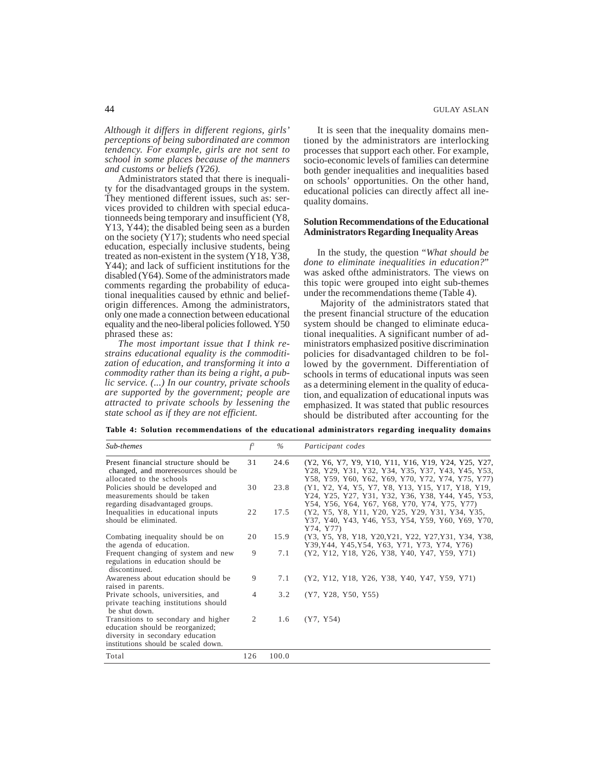*Although it differs in different regions, girls' perceptions of being subordinated are common tendency. For example, girls are not sent to school in some places because of the manners and customs or beliefs (Y26).*

Administrators stated that there is inequality for the disadvantaged groups in the system. They mentioned different issues, such as: services provided to children with special educationneeds being temporary and insufficient (Y8, Y13, Y44); the disabled being seen as a burden on the society (Y17); students who need special education, especially inclusive students, being treated as non-existent in the system (Y18, Y38, Y44); and lack of sufficient institutions for the disabled (Y64). Some of the administrators made comments regarding the probability of educational inequalities caused by ethnic and belieforigin differences. Among the administrators, only one made a connection between educational equality and the neo-liberal policies followed. Y50 phrased these as:

*The most important issue that I think restrains educational equality is the commoditization of education, and transforming it into a commodity rather than its being a right, a public service. (...) In our country, private schools are supported by the government; people are attracted to private schools by lessening the state school as if they are not efficient.*

It is seen that the inequality domains mentioned by the administrators are interlocking processes that support each other. For example, socio-economic levels of families can determine both gender inequalities and inequalities based on schools' opportunities. On the other hand, educational policies can directly affect all inequality domains.

#### **Solution Recommendations of the Educational Administrators Regarding Inequality Areas**

In the study, the question "*What should be done to eliminate inequalities in education?*" was asked ofthe administrators. The views on this topic were grouped into eight sub-themes under the recommendations theme (Table 4).

Majority of the administrators stated that the present financial structure of the education system should be changed to eliminate educational inequalities. A significant number of administrators emphasized positive discrimination policies for disadvantaged children to be followed by the government. Differentiation of schools in terms of educational inputs was seen as a determining element in the quality of education, and equalization of educational inputs was emphasized. It was stated that public resources should be distributed after accounting for the

*Sub-themes f 3 % Participant codes* Present financial structure should be 31 24.6 (Y2, Y6, Y7, Y9, Y10, Y11, Y16, Y19, Y24, Y25, Y27, changed, and moreresources should be Y28, Y29, Y31, Y32, Y34, Y35, Y37, Y43, Y45, Y53, allocated to the schools Y58, Y59, Y60, Y62, Y69, Y70, Y72, Y74, Y75, Y77) Policies should be developed and 30 23.8 (Y1, Y2, Y4, Y5, Y7, Y8, Y13, Y15, Y17, Y18, Y19, measurements should be taken <br>
T24, Y25, Y27, Y31, Y32, Y36, Y38, Y44, Y45, Y53,<br>
Y54, Y56, Y64, Y67, Y68, Y70, Y74, Y75, Y77) regarding disadvantaged groups.<br>
The Y54, Y56, Y64, Y67, Y68, Y70, Y74, Y75, Y77)<br>
Inequalities in educational inputs<br>
22 17.5 (Y2, Y5, Y8, Y11, Y20, Y25, Y29, Y31, Y34, Y3 Inequalities in educational inputs 22 17.5 (Y2, Y5, Y8, Y11, Y20, Y25, Y29, Y31, Y34, Y35, should be eliminated. Y37, Y40, Y43, Y46, Y53, Y54, Y59, Y60, Y69, Y70, Y74, Y77) Combating inequality should be on 20 15.9 (Y3, Y5, Y8, Y18, Y20,Y21, Y22, Y27,Y31, Y34, Y38, the agenda of education.<br>
Frequent changing of system and new 9 7.1 (Y2, Y12, Y18, Y26, Y38, Y40, Y47, Y59, Y71) (Y2, Y12, Y18, Y26, Y38, Y40, Y47, Y59, Y71) regulations in education should be discontinued.<br>Awareness about education should be 9 7.1 (Y2, Y12, Y18, Y26, Y38, Y40, Y47, Y59, Y71) raised in parents. Private schools, universities, and  $4$  3.2 (Y7, Y28, Y50, Y55) private teaching institutions should be shut down. Transitions to secondary and higher 2 1.6 (Y7, Y54) education should be reorganized; diversity in secondary education institutions should be scaled down. Total 126 100.0

**Table 4: Solution recommendations of the educational administrators regarding inequality domains**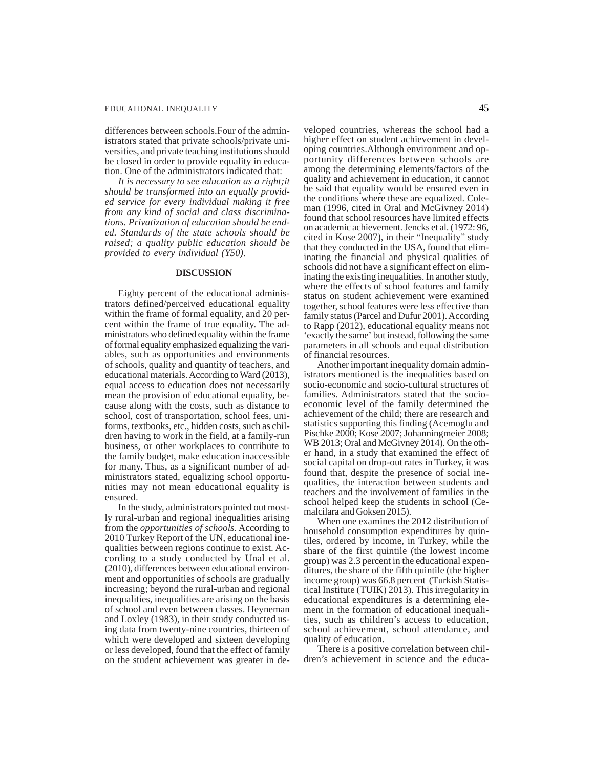differences between schools.Four of the administrators stated that private schools/private universities, and private teaching institutions should be closed in order to provide equality in education. One of the administrators indicated that:

*It is necessary to see education as a right;it should be transformed into an equally provided service for every individual making it free from any kind of social and class discriminations. Privatization of education should be ended. Standards of the state schools should be raised; a quality public education should be provided to every individual (Y50).*

## **DISCUSSION**

Eighty percent of the educational administrators defined/perceived educational equality within the frame of formal equality, and 20 percent within the frame of true equality. The administrators who defined equality within the frame of formal equality emphasized equalizing the variables, such as opportunities and environments of schools, quality and quantity of teachers, and educational materials. According to Ward (2013), equal access to education does not necessarily mean the provision of educational equality, because along with the costs, such as distance to school, cost of transportation, school fees, uniforms, textbooks, etc., hidden costs, such as children having to work in the field, at a family-run business, or other workplaces to contribute to the family budget, make education inaccessible for many. Thus, as a significant number of administrators stated, equalizing school opportunities may not mean educational equality is ensured.

In the study, administrators pointed out mostly rural-urban and regional inequalities arising from the *opportunities of schools*. According to 2010 Turkey Report of the UN, educational inequalities between regions continue to exist. According to a study conducted by Unal et al. (2010), differences between educational environment and opportunities of schools are gradually increasing; beyond the rural-urban and regional inequalities, inequalities are arising on the basis of school and even between classes. Heyneman and Loxley (1983), in their study conducted using data from twenty-nine countries, thirteen of which were developed and sixteen developing or less developed, found that the effect of family on the student achievement was greater in developed countries, whereas the school had a higher effect on student achievement in developing countries.Although environment and opportunity differences between schools are among the determining elements/factors of the quality and achievement in education, it cannot be said that equality would be ensured even in the conditions where these are equalized. Coleman (1996, cited in Oral and McGivney 2014) found that school resources have limited effects on academic achievement. Jencks et al. (1972: 96, cited in Kose 2007), in their "Inequality" study that they conducted in the USA, found that eliminating the financial and physical qualities of schools did not have a significant effect on eliminating the existing inequalities. In another study, where the effects of school features and family status on student achievement were examined together, school features were less effective than family status (Parcel and Dufur 2001). According to Rapp (2012), educational equality means not 'exactly the same' but instead, following the same parameters in all schools and equal distribution of financial resources.

Another important inequality domain administrators mentioned is the inequalities based on socio-economic and socio-cultural structures of families. Administrators stated that the socioeconomic level of the family determined the achievement of the child; there are research and statistics supporting this finding (Acemoglu and Pischke 2000; Kose 2007; Johanningmeier 2008; WB 2013; Oral and McGivney 2014). On the other hand, in a study that examined the effect of social capital on drop-out rates in Turkey, it was found that, despite the presence of social inequalities, the interaction between students and teachers and the involvement of families in the school helped keep the students in school (Cemalcilara and Goksen 2015).

When one examines the 2012 distribution of household consumption expenditures by quintiles, ordered by income, in Turkey, while the share of the first quintile (the lowest income group) was 2.3 percent in the educational expenditures, the share of the fifth quintile (the higher income group) was 66.8 percent (Turkish Statistical Institute (TUIK) 2013). This irregularity in educational expenditures is a determining element in the formation of educational inequalities, such as children's access to education, school achievement, school attendance, and quality of education.

There is a positive correlation between children's achievement in science and the educa-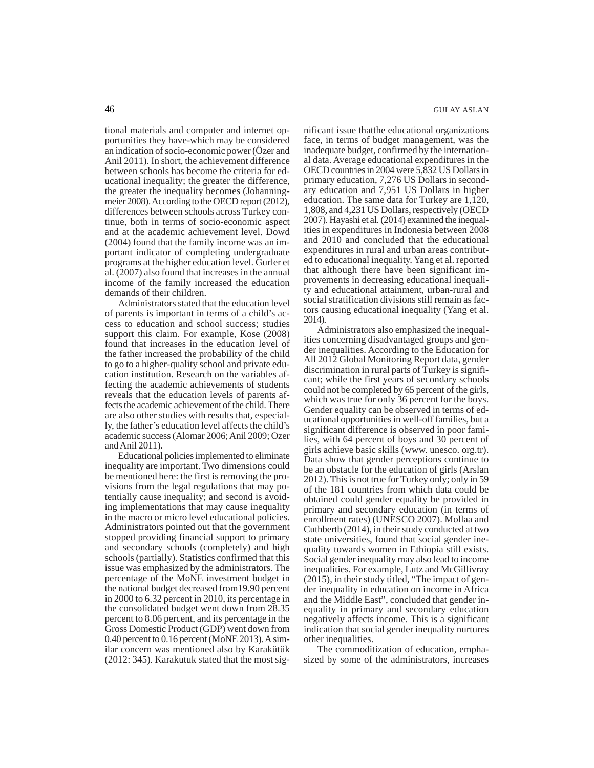tional materials and computer and internet opportunities they have-which may be considered an indication of socio-economic power (Özer and Anil 2011). In short, the achievement difference between schools has become the criteria for educational inequality; the greater the difference, the greater the inequality becomes (Johanningmeier 2008). According to the OECD report (2012), differences between schools across Turkey continue, both in terms of socio-economic aspect and at the academic achievement level. Dowd (2004) found that the family income was an important indicator of completing undergraduate programs at the higher education level. Gurler et al. (2007) also found that increases in the annual income of the family increased the education demands of their children.

Administrators stated that the education level of parents is important in terms of a child's access to education and school success; studies support this claim. For example, Kose (2008) found that increases in the education level of the father increased the probability of the child to go to a higher-quality school and private education institution. Research on the variables affecting the academic achievements of students reveals that the education levels of parents affects the academic achievement of the child. There are also other studies with results that, especially, the father's education level affects the child's academic success (Alomar 2006; Anil 2009; Ozer and Anil 2011).

Educational policies implemented to eliminate inequality are important. Two dimensions could be mentioned here: the first is removing the provisions from the legal regulations that may potentially cause inequality; and second is avoiding implementations that may cause inequality in the macro or micro level educational policies. Administrators pointed out that the government stopped providing financial support to primary and secondary schools (completely) and high schools (partially). Statistics confirmed that this issue was emphasized by the administrators. The percentage of the MoNE investment budget in the national budget decreased from19.90 percent in 2000 to 6.32 percent in 2010, its percentage in the consolidated budget went down from 28.35 percent to 8.06 percent, and its percentage in the Gross Domestic Product (GDP) went down from 0.40 percent to 0.16 percent (MoNE 2013). A similar concern was mentioned also by Karakütük (2012: 345). Karakutuk stated that the most significant issue thatthe educational organizations face, in terms of budget management, was the inadequate budget, confirmed by the international data. Average educational expenditures in the OECD countries in 2004 were 5,832 US Dollars in primary education, 7,276 US Dollars in secondary education and 7,951 US Dollars in higher education. The same data for Turkey are 1,120, 1,808, and 4,231 US Dollars, respectively (OECD 2007). Hayashi et al. (2014) examined the inequalities in expenditures in Indonesia between 2008 and 2010 and concluded that the educational expenditures in rural and urban areas contributed to educational inequality. Yang et al. reported that although there have been significant improvements in decreasing educational inequality and educational attainment, urban-rural and social stratification divisions still remain as factors causing educational inequality (Yang et al. 2014).

Administrators also emphasized the inequalities concerning disadvantaged groups and gender inequalities. According to the Education for All 2012 Global Monitoring Report data, gender discrimination in rural parts of Turkey is significant; while the first years of secondary schools could not be completed by 65 percent of the girls, which was true for only 36 percent for the boys. Gender equality can be observed in terms of educational opportunities in well-off families, but a significant difference is observed in poor families, with 64 percent of boys and 30 percent of girls achieve basic skills (www. unesco. org.tr). Data show that gender perceptions continue to be an obstacle for the education of girls (Arslan 2012). This is not true for Turkey only; only in 59 of the 181 countries from which data could be obtained could gender equality be provided in primary and secondary education (in terms of enrollment rates) (UNESCO 2007). Mollaa and Cuthbertb (2014), in their study conducted at two state universities, found that social gender inequality towards women in Ethiopia still exists. Social gender inequality may also lead to income inequalities. For example, Lutz and McGillivray (2015), in their study titled, "The impact of gender inequality in education on income in Africa and the Middle East", concluded that gender inequality in primary and secondary education negatively affects income. This is a significant indication that social gender inequality nurtures other inequalities.

The commoditization of education, emphasized by some of the administrators, increases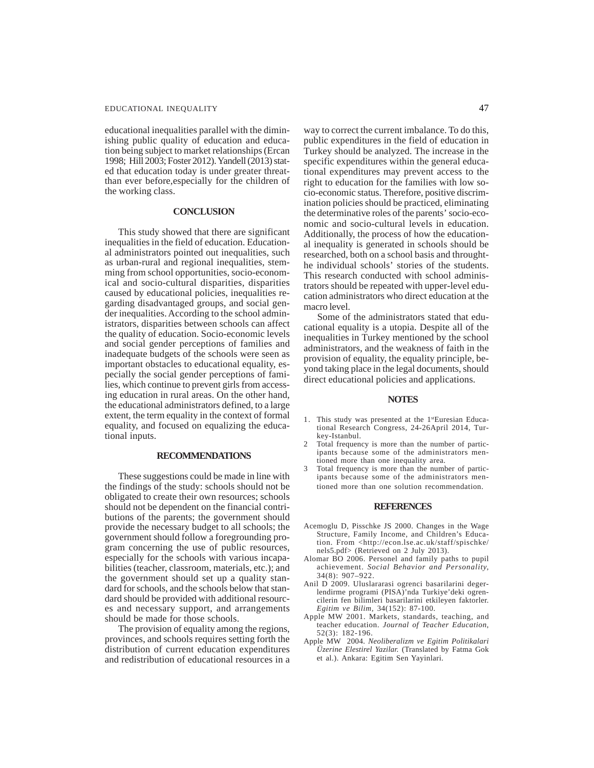educational inequalities parallel with the diminishing public quality of education and education being subject to market relationships (Ercan 1998; Hill 2003; Foster 2012). Yandell (2013) stated that education today is under greater threatthan ever before,especially for the children of the working class.

#### **CONCLUSION**

This study showed that there are significant inequalities in the field of education. Educational administrators pointed out inequalities, such as urban-rural and regional inequalities, stemming from school opportunities, socio-economical and socio-cultural disparities, disparities caused by educational policies, inequalities regarding disadvantaged groups, and social gender inequalities. According to the school administrators, disparities between schools can affect the quality of education. Socio-economic levels and social gender perceptions of families and inadequate budgets of the schools were seen as important obstacles to educational equality, especially the social gender perceptions of families, which continue to prevent girls from accessing education in rural areas. On the other hand, the educational administrators defined, to a large extent, the term equality in the context of formal equality, and focused on equalizing the educational inputs.

#### **RECOMMENDATIONS**

These suggestions could be made in line with the findings of the study: schools should not be obligated to create their own resources; schools should not be dependent on the financial contributions of the parents; the government should provide the necessary budget to all schools; the government should follow a foregrounding program concerning the use of public resources, especially for the schools with various incapabilities (teacher, classroom, materials, etc.); and the government should set up a quality standard for schools, and the schools below that standard should be provided with additional resources and necessary support, and arrangements should be made for those schools.

The provision of equality among the regions, provinces, and schools requires setting forth the distribution of current education expenditures and redistribution of educational resources in a way to correct the current imbalance. To do this, public expenditures in the field of education in Turkey should be analyzed. The increase in the specific expenditures within the general educational expenditures may prevent access to the right to education for the families with low socio-economic status. Therefore, positive discrimination policies should be practiced, eliminating the determinative roles of the parents' socio-economic and socio-cultural levels in education. Additionally, the process of how the educational inequality is generated in schools should be researched, both on a school basis and throughthe individual schools' stories of the students. This research conducted with school administrators should be repeated with upper-level education administrators who direct education at the macro level.

Some of the administrators stated that educational equality is a utopia. Despite all of the inequalities in Turkey mentioned by the school administrators, and the weakness of faith in the provision of equality, the equality principle, beyond taking place in the legal documents, should direct educational policies and applications.

## **NOTES**

- 1. This study was presented at the 1stEuresian Educational Research Congress, 24-26April 2014, Turkey-Istanbul.
- 2 Total frequency is more than the number of participants because some of the administrators mentioned more than one inequality area.
- 3 Total frequency is more than the number of participants because some of the administrators mentioned more than one solution recommendation.

#### **REFERENCES**

- Acemoglu D, Pisschke JS 2000. Changes in the Wage Structure, Family Income, and Children's Education. From <http://econ.lse.ac.uk/staff/spischke/ nels5.pdf> (Retrieved on 2 July 2013).
- Alomar BO 2006. Personel and family paths to pupil achievement. *Social Behavior and Personality,* 34(8): 907–922.
- Anil D 2009. Uluslararasi ogrenci basarilarini degerlendirme programi (PISA)'nda Turkiye'deki ogrencilerin fen bilimleri basarilarini etkileyen faktorler. *Egitim ve Bilim,* 34(152): 87-100.
- Apple MW 2001. Markets, standards, teaching, and teacher education. *Journal of Teacher Education*,  $52(3): 182 - 196$ .
- Apple MW 2004. *Neoliberalizm ve Egitim Politikalari Üzerine Elestirel Yazilar.* (Translated by Fatma Gok et al.). Ankara: Egitim Sen Yayinlari.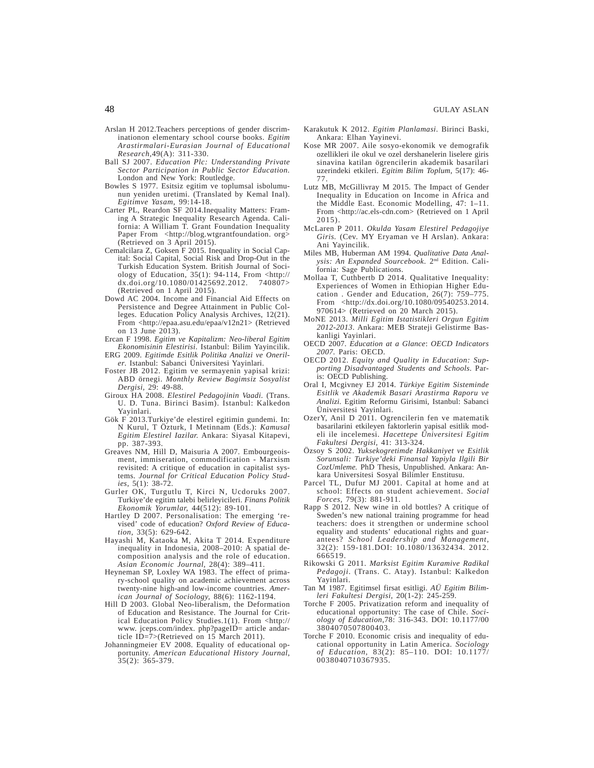- Arslan H 2012.Teachers perceptions of gender discriminationon elementary school course books. *Egitim Arastirmalari-Eurasian Journal of Educational Research,*49(A): 311-330.
- Ball SJ 2007. *Education Plc: Understanding Private Sector Participation in Public Sector Education.* London and New York: Routledge.
- Bowles S 1977. Esitsiz egitim ve toplumsal isbolumunun yeniden uretimi. (Translated by Kemal Inal). *Egitimve Yasam*, 99:14-18.
- Carter PL, Reardon SF 2014.Inequality Matters: Framing A Strategic Inequality Research Agenda. California: A William T. Grant Foundation Inequality Paper From <http://blog.wtgrantfoundation.org> (Retrieved on 3 April 2015).
- Cemalcilara Z, Goksen F 2015. Inequality in Social Capital: Social Capital, Social Risk and Drop-Out in the Turkish Education System. British Journal of Sociology of Education,  $35(1)$ : 94-114, From  $\langle$ http://<br>dx.doi.org/10.1080/01425692.2012. 740807>  $dx.doi.org/10.1080/01425692.2012.$ (Retrieved on 1 April 2015).
- Dowd AC 2004. Income and Financial Aid Effects on Persistence and Degree Attainment in Public Colleges. Education Policy Analysis Archives, 12(21). From <http://epaa.asu.edu/epaa/v12n21> (Retrieved on 13 June 2013).
- Ercan F 1998. *Egitim ve Kapitalizm: Neo-liberal Egitim Ekonomisinin Elestirisi*. Istanbul: Bilim Yayincilik.
- ERG 2009. *Egitimde Esitlik Politika Analizi ve Oneriler*. Istanbul: Sabanci Üniversitesi Yayinlari.
- Foster JB 2012. Egitim ve sermayenin yapisal krizi: ABD örnegi. *Monthly Review Bagimsiz Sosyalist Dergisi,* 29: 49-88.
- Giroux HA 2008. *Elestirel Pedagojinin Vaadi.* (Trans. U. D. Tuna. Birinci Basim). Istanbul: Kalkedon Yayinlari.
- Gök F 2013.Turkiye'de elestirel egitimin gundemi. In: N Kurul, T Özturk, I Metinnam (Eds.): *Kamusal Egitim Elestirel Iazilar.* Ankara: Siyasal Kitapevi, pp. 387-393.
- Greaves NM, Hill D, Maisuria A 2007. Embourgeoisment, immiseration, commodification - Marxism revisited: A critique of education in capitalist systems. *Journal for Critical Education Policy Studies,* 5(1): 38-72.
- Gurler OK, Turgutlu T, Kirci N, Ucdoruks 2007. Turkiye'de egitim talebi belirleyicileri. *Finans Politik Ekonomik Yorumlar,* 44(512): 89-101.
- Hartley D 2007. Personalisation: The emerging 'revised' code of education? *Oxford Review of Education*, 33(5): 629-642.
- Hayashi M, Kataoka M, Akita T 2014. Expenditure inequality in Indonesia, 2008–2010: A spatial decomposition analysis and the role of education. *Asian Economic Journal*, 28(4): 389–411.
- Heyneman SP, Loxley WA 1983. The effect of primary-school quality on academic achievement across twenty-nine high-and low-income countries. *American Journal of Sociology,* 88(6): 1162-1194.
- Hill D 2003. Global Neo-liberalism, the Deformation of Education and Resistance. The Journal for Critical Education Policy Studies.1(1). From <http:// www. jceps.com/index. php?pageID= article andarticle ID=7>(Retrieved on 15 March 2011).
- Johanningmeier EV 2008. Equality of educational opportunity. *American Educational History Journal*,  $35(2)$ :  $365-379$ .
- Karakutuk K 2012. *Egitim Planlamasi*. Birinci Baski, Ankara: Elhan Yayinevi.
- Kose MR 2007. Aile sosyo-ekonomik ve demografik ozellikleri ile okul ve ozel dershanelerin liselere giris sinavina katilan ögrencilerin akademik basarilari uzerindeki etkileri. *Egitim Bilim Toplum*, 5(17): 46- 77.
- Lutz MB, McGillivray M 2015. The Impact of Gender Inequality in Education on Income in Africa and the Middle East. Economic Modelling, 47: 1–11. From <http://ac.els-cdn.com> (Retrieved on 1 April 2015).
- McLaren P 2011. *Okulda Yasam Elestirel Pedagojiye Giris.* (Cev. MY Eryaman ve H Arslan). Ankara: Ani Yayincilik.
- Miles MB, Huberman AM 1994. *Qualitative Data Analysis: An Expanded Sourcebook.* 2nd Edition. California: Sage Publications.
- Mollaa T, Cuthbertb D 2014. Qualitative Inequality: Experiences of Women in Ethiopian Higher Education . Gender and Education, 26(7): 759–775. From <http://dx.doi.org/10.1080/09540253.2014. 970614> (Retrieved on 20 March 2015).
- MoNE 2013. *Milli Egitim Istatistikleri Orgun Egitim 2012-2013*. Ankara: MEB Strateji Gelistirme Baskanligi Yayinlari.
- OECD 2007. *Education at a Glance*: *OECD Indicators 2007.* Paris: OECD.
- OECD 2012. *Equity and Quality in Education: Supporting Disadvantaged Students and Schools.* Paris: OECD Publishing.
- Oral I, Mcgivney EJ 2014. *Türkiye Egitim Sisteminde Esitlik ve Akademik Basari Arastirma Raporu ve Analizi.* Egitim Reformu Girisimi, Istanbul: Sabanci Üniversitesi Yayinlari.
- OzerY, Anil D 2011. Ogrencilerin fen ve matematik basarilarini etkileyen faktorlerin yapisal esitlik modeli ile incelemesi. *Hacettepe Üniversitesi Egitim Fakultesi Dergisi,* 41: 313-324.
- Özsoy S 2002. *Yuksekogretimde Hakkaniyet ve Esitlik Sorunsali: Turkiye'deki Finansal Yapiyla Ilgili Bir CozUmleme.* PhD Thesis, Unpublished. Ankara: Ankara Universitesi Sosyal Bilimler Enstitusu.
- Parcel TL, Dufur MJ 2001. Capital at home and at school: Effects on student achievement. *Social Forces,* 79(3): 881-911.
- Rapp S 2012. New wine in old bottles? A critique of Sweden's new national training programme for head teachers: does it strengthen or undermine school equality and students' educational rights and guarantees? *School Leadership and Management,* 32(2): 159-181.DOI: 10.1080/13632434. 2012. 666519.
- Rikowski G 2011. *Marksist Egitim Kuramive Radikal Pedagoji*. (Trans. C. Atay). Istanbul: Kalkedon Yayinlari.
- Tan M 1987. Egitimsel firsat esitligi. *AÜ Egitim Bilimleri Fakultesi Dergisi,* 20(1-2): 245-259.
- Torche F 2005. Privatization reform and inequality of educational opportunity: The case of Chile. *Sociology of Education*,78: 316-343. DOI: 10.1177/00 3804070507800403.
- Torche F 2010. Economic crisis and inequality of educational opportunity in Latin America. *Sociology of Education,* 83(2): 85–110. DOI: 10.1177/ 0038040710367935.